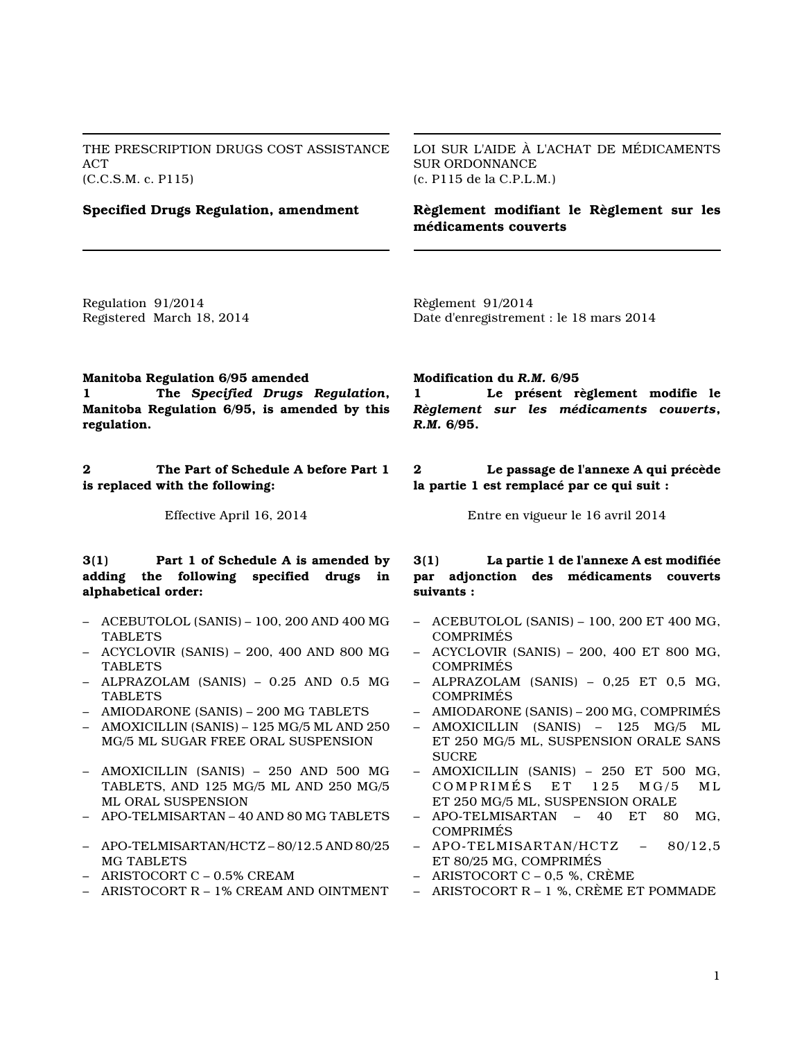THE PRESCRIPTION DRUGS COST ASSISTANCE ACT (C.C.S.M. c. P115)

LOI SUR L'AIDE À L'ACHAT DE MÉDICAMENTS SUR ORDONNANCE (c. P115 de la C.P.L.M.)

# **Specified Drugs Regulation, amendment**

**Règlement modifiant le Règlement sur les médicaments couverts**

Regulation 91/2014 Registered March 18, 2014 Règlement 91/2014 Date d'enregistrement : le 18 mars 2014

#### **Manitoba Regulation 6/95 amended**

**1 The** *Specified Drugs Regulation***, Manitoba Regulation 6/95, is amended by this regulation.**

**2 The Part of Schedule A before Part 1 is replaced with the following:**

#### **3(1) Part 1 of Schedule A is amended by adding the following specified drugs in alphabetical order:**

- ACEBUTOLOL (SANIS) 100, 200 AND 400 MG TABLETS
- ACYCLOVIR (SANIS) 200, 400 AND 800 MG TABLETS
- ALPRAZOLAM (SANIS) 0.25 AND 0.5 MG TABLETS
- AMIODARONE (SANIS) 200 MG TABLETS
- AMOXICILLIN (SANIS) 125 MG/5 ML AND 250 MG/5 ML SUGAR FREE ORAL SUSPENSION
- AMOXICILLIN (SANIS) 250 AND 500 MG TABLETS, AND 125 MG/5 ML AND 250 MG/5 ML ORAL SUSPENSION
- APO-TELMISARTAN 40 AND 80 MG TABLETS
- APO-TELMISARTAN/HCTZ 80/12.5 AND 80/25 MG TABLETS
- ARISTOCORT C 0.5% CREAM
- ARISTOCORT R 1% CREAM AND OINTMENT

**Modification du** *R.M.* **6/95**

**1 Le présent règlement modifie le** *Règlement sur les médicaments couverts***,** *R.M.* **6/95.**

**2 Le passage de l'annexe A qui précède la partie 1 est remplacé par ce qui suit :**

Effective April 16, 2014 Entre en vigueur le 16 avril 2014

#### **3(1) La partie 1 de l'annexe A est modifiée par adjonction des médicaments couverts suivants :**

- ACEBUTOLOL (SANIS) 100, 200 ET 400 MG, COMPRIMÉS
- ACYCLOVIR (SANIS) 200, 400 ET 800 MG, COMPRIMÉS
- ALPRAZOLAM (SANIS) 0,25 ET 0,5 MG, COMPRIMÉS
- AMIODARONE (SANIS) 200 MG, COMPRIMÉS
- AMOXICILLIN (SANIS) 125 MG/5 ML ET 250 MG/5 ML, SUSPENSION ORALE SANS **SUCRE**
- AMOXICILLIN (SANIS) 250 ET 500 MG, COMPRIMÉS ET 125 MG/5 ML ET 250 MG/5 ML, SUSPENSION ORALE<br>APO-TELMISARTAN - 40 ET 80
- APO-TELMISARTAN 40 ET 80 MG, COMPRIMÉS
- APO-TELMISARTAN/HCTZ 80/12,5 ET 80/25 MG, COMPRIMÉS
- ARISTOCORT C 0,5 %, CRÈME
- ARISTOCORT R 1 %, CRÈME ET POMMADE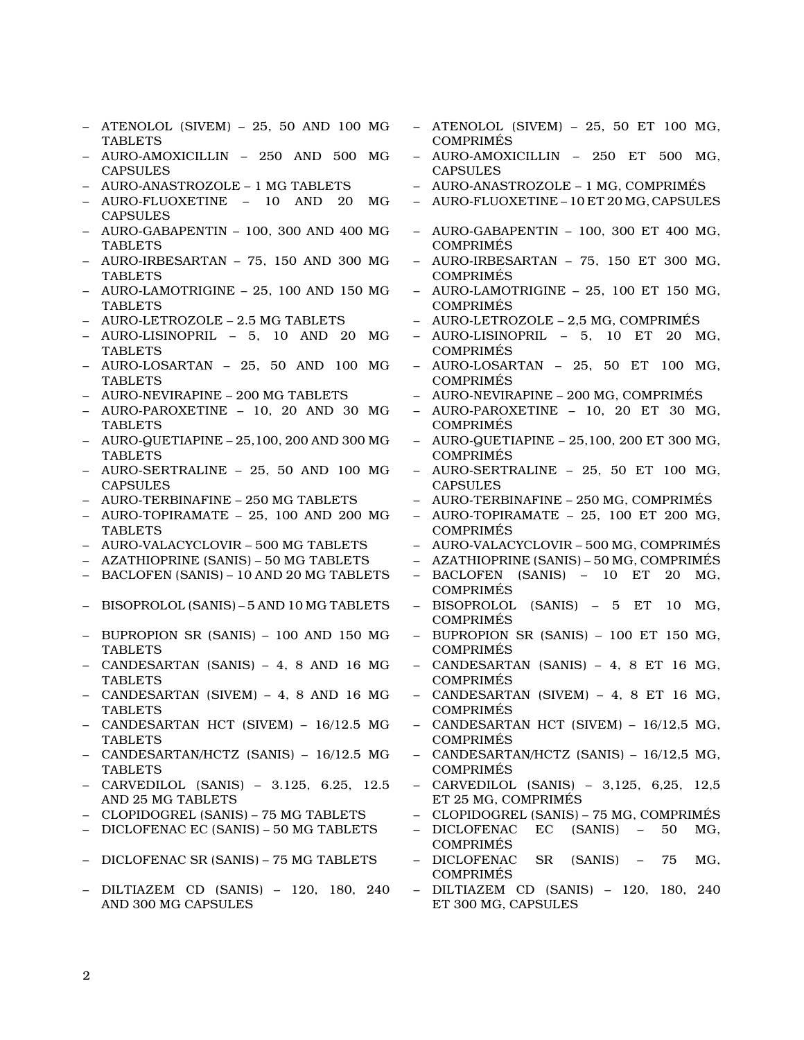- ATENOLOL (SIVEM) 25, 50 AND 100 MG TABLETS
- AURO-AMOXICILLIN 250 AND 500 MG **CAPSULES**
- AURO-ANASTROZOLE 1 MG TABLETS
- AURO-FLUOXETINE 10 AND 20 MG CAPSULES
- AURO-GABAPENTIN 100, 300 AND 400 MG TABLETS
- AURO-IRBESARTAN 75, 150 AND 300 MG TABLETS
- AURO-LAMOTRIGINE 25, 100 AND 150 MG TABLETS
- AURO-LETROZOLE 2.5 MG TABLETS
- AURO-LISINOPRIL 5, 10 AND 20 MG TABLETS
- AURO-LOSARTAN 25, 50 AND 100 MG TABLETS
- AURO-NEVIRAPINE 200 MG TABLETS
- AURO-PAROXETINE 10, 20 AND 30 MG **TABLETS**
- AURO-QUETIAPINE 25,100, 200 AND 300 MG TABLETS
- AURO-SERTRALINE 25, 50 AND 100 MG CAPSULES
- AURO-TERBINAFINE 250 MG TABLETS
- AURO-TOPIRAMATE 25, 100 AND 200 MG **TABLETS**
- AURO-VALACYCLOVIR 500 MG TABLETS
- AZATHIOPRINE (SANIS) 50 MG TABLETS
- BACLOFEN (SANIS) 10 AND 20 MG TABLETS
- BISOPROLOL (SANIS) 5 AND 10 MG TABLETS
- BUPROPION SR (SANIS) 100 AND 150 MG TABLETS
- CANDESARTAN (SANIS) 4, 8 AND 16 MG TABLETS
- CANDESARTAN (SIVEM) 4, 8 AND 16 MG TABLETS
- CANDESARTAN HCT (SIVEM) 16/12.5 MG TABLETS
- CANDESARTAN/HCTZ (SANIS) 16/12.5 MG TABLETS
- CARVEDILOL (SANIS) 3.125, 6.25, 12.5 AND 25 MG TABLETS
- CLOPIDOGREL (SANIS) 75 MG TABLETS
- DICLOFENAC EC (SANIS) 50 MG TABLETS
- DICLOFENAC SR (SANIS) 75 MG TABLETS
- DILTIAZEM CD (SANIS) 120, 180, 240 AND 300 MG CAPSULES
- ATENOLOL (SIVEM) 25, 50 ET 100 MG, COMPRIMÉS
- AURO-AMOXICILLIN 250 ET 500 MG, **CAPSULES**
- AURO-ANASTROZOLE 1 MG, COMPRIMÉS
- AURO-FLUOXETINE 10 ET 20 MG, CAPSULES
- AURO-GABAPENTIN 100, 300 ET 400 MG, COMPRIMÉS
- AURO-IRBESARTAN 75, 150 ET 300 MG, COMPRIMÉS
- AURO-LAMOTRIGINE 25, 100 ET 150 MG, COMPRIMÉS
- AURO-LETROZOLE 2,5 MG, COMPRIMÉS
- AURO-LISINOPRIL 5, 10 ET 20 MG, COMPRIMÉS
- AURO-LOSARTAN 25, 50 ET 100 MG, COMPRIMÉS
- AURO-NEVIRAPINE 200 MG, COMPRIMÉS
- AURO-PAROXETINE 10, 20 ET 30 MG, COMPRIMÉS
- $-$  AURO-QUETIAPINE  $-$  25,100, 200 ET 300 MG, COMPRIMÉS
- AURO-SERTRALINE 25, 50 ET 100 MG, CAPSULES
- AURO-TERBINAFINE 250 MG, COMPRIMÉS
- AURO-TOPIRAMATE 25, 100 ET 200 MG, COMPRIMÉS
- AURO-VALACYCLOVIR 500 MG, COMPRIMÉS
- AZATHIOPRINE (SANIS) 50 MG, COMPRIMÉS
- BACLOFEN (SANIS) 10 ET 20 MG, COMPRIMÉS
- BISOPROLOL (SANIS) 5 ET 10 MG, COMPRIMÉS
- BUPROPION SR (SANIS) 100 ET 150 MG, COMPRIMÉS
- CANDESARTAN (SANIS) 4, 8 ET 16 MG, COMPRIMÉS
- CANDESARTAN (SIVEM) 4, 8 ET 16 MG, COMPRIMÉS
- CANDESARTAN HCT (SIVEM) 16/12,5 MG, COMPRIMÉS
- CANDESARTAN/HCTZ (SANIS) 16/12,5 MG, COMPRIMÉS
- CARVEDILOL (SANIS) 3,125, 6,25, 12,5 ET 25 MG, COMPRIMÉS
- CLOPIDOGREL (SANIS) 75 MG, COMPRIMÉS
- DICLOFENAC EC (SANIS) 50 MG, COMPRIMÉS
- DICLOFENAC SR (SANIS) 75 MG, COMPRIMÉS
- DILTIAZEM CD (SANIS) 120, 180, 240 ET 300 MG, CAPSULES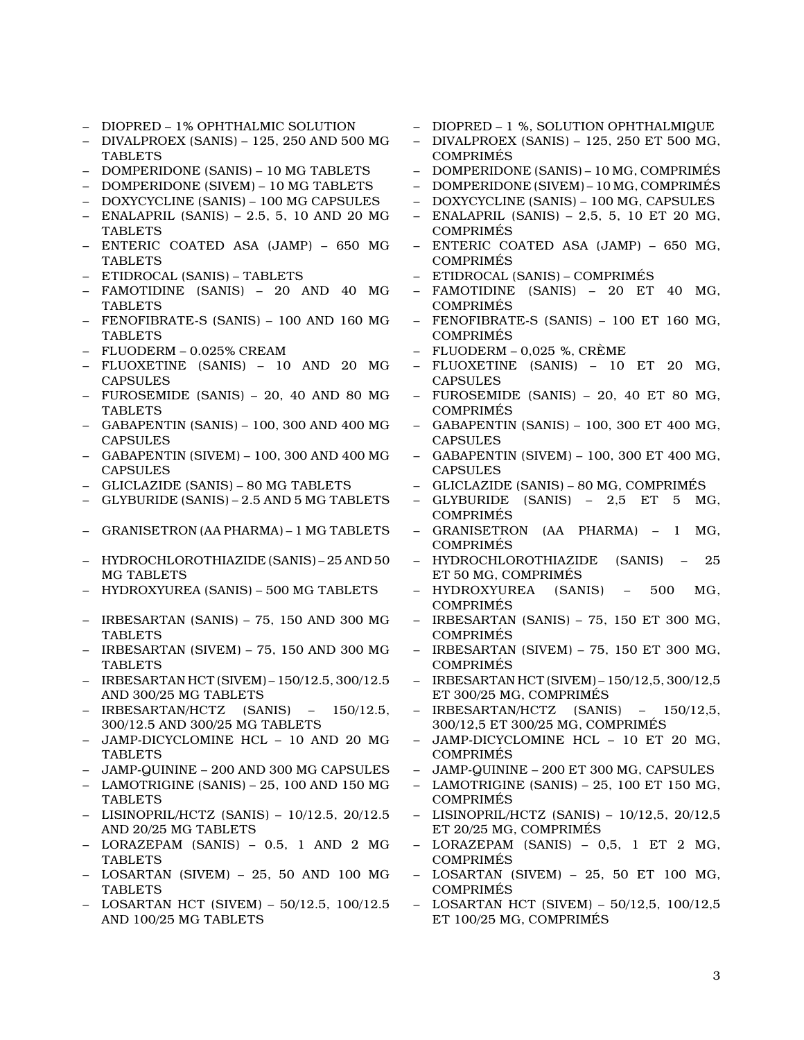- DIOPRED 1% OPHTHALMIC SOLUTION
- DIVALPROEX (SANIS) 125, 250 AND 500 MG TABLETS
- DOMPERIDONE (SANIS) 10 MG TABLETS
- DOMPERIDONE (SIVEM) 10 MG TABLETS
- DOXYCYCLINE (SANIS) 100 MG CAPSULES
- ENALAPRIL (SANIS) 2.5, 5, 10 AND 20 MG TABLETS
- ENTERIC COATED ASA (JAMP) 650 MG **TABLETS**
- ETIDROCAL (SANIS) TABLETS
- FAMOTIDINE (SANIS) 20 AND 40 MG TABLETS
- FENOFIBRATE-S (SANIS) 100 AND 160 MG TABLETS
- FLUODERM 0.025% CREAM
- FLUOXETINE (SANIS) 10 AND 20 MG CAPSULES
- FUROSEMIDE (SANIS) 20, 40 AND 80 MG TABLETS
- GABAPENTIN (SANIS) 100, 300 AND 400 MG CAPSULES
- GABAPENTIN (SIVEM) 100, 300 AND 400 MG CAPSULES
- GLICLAZIDE (SANIS) 80 MG TABLETS
- GLYBURIDE (SANIS) 2.5 AND 5 MG TABLETS
- GRANISETRON (AA PHARMA) 1 MG TABLETS
- HYDROCHLOROTHIAZIDE (SANIS) 25 AND 50 MG TABLETS
- HYDROXYUREA (SANIS) 500 MG TABLETS
- IRBESARTAN (SANIS) 75, 150 AND 300 MG **TABLETS**
- IRBESARTAN (SIVEM) 75, 150 AND 300 MG TABLETS
- IRBESARTAN HCT (SIVEM) 150/12.5, 300/12.5 AND 300/25 MG TABLETS
- IRBESARTAN/HCTZ (SANIS) 150/12.5, 300/12.5 AND 300/25 MG TABLETS
- JAMP-DICYCLOMINE HCL 10 AND 20 MG TABLETS
- JAMP-QUININE 200 AND 300 MG CAPSULES
- LAMOTRIGINE (SANIS) 25, 100 AND 150 MG **TABLETS**
- LISINOPRIL/HCTZ (SANIS) 10/12.5, 20/12.5 AND 20/25 MG TABLETS
- LORAZEPAM (SANIS) 0.5, 1 AND 2 MG **TABLETS**
- LOSARTAN (SIVEM) 25, 50 AND 100 MG TABLETS
- LOSARTAN HCT (SIVEM) 50/12.5, 100/12.5 AND 100/25 MG TABLETS
- DIOPRED 1 %, SOLUTION OPHTHALMIQUE
- DIVALPROEX (SANIS) 125, 250 ET 500 MG, COMPRIMÉS
- DOMPERIDONE (SANIS) 10 MG, COMPRIMÉS
- DOMPERIDONE (SIVEM) 10 MG, COMPRIMÉS
- DOXYCYCLINE (SANIS) 100 MG, CAPSULES
- ENALAPRIL (SANIS) 2,5, 5, 10 ET 20 MG, COMPRIMÉS
- ENTERIC COATED ASA (JAMP) 650 MG, COMPRIMÉS
- ETIDROCAL (SANIS) COMPRIMÉS
- FAMOTIDINE (SANIS) 20 ET 40 MG, COMPRIMÉS
- FENOFIBRATE-S (SANIS) 100 ET 160 MG, COMPRIMÉS
- FLUODERM 0,025 %, CRÈME
- FLUOXETINE (SANIS) 10 ET 20 MG, CAPSULES
- FUROSEMIDE (SANIS) 20, 40 ET 80 MG, COMPRIMÉS
- GABAPENTIN (SANIS) 100, 300 ET 400 MG, CAPSULES
- GABAPENTIN (SIVEM) 100, 300 ET 400 MG, CAPSULES
- GLICLAZIDE (SANIS) 80 MG, COMPRIMÉS
- GLYBURIDE (SANIS) 2,5 ET 5 MG, COMPRIMÉS
- GRANISETRON (AA PHARMA) 1 MG, COMPRIMÉS
- HYDROCHLOROTHIAZIDE (SANIS) 25 ET 50 MG, COMPRIMÉS
- HYDROXYUREA (SANIS) 500 MG, COMPRIMÉS
- IRBESARTAN (SANIS) 75, 150 ET 300 MG, COMPRIMÉS
- IRBESARTAN (SIVEM) 75, 150 ET 300 MG, COMPRIMÉS
- IRBESARTAN HCT (SIVEM) 150/12,5, 300/12,5 ET 300/25 MG, COMPRIMÉS
- IRBESARTAN/HCTZ (SANIS) 150/12,5, 300/12,5 ET 300/25 MG, COMPRIMÉS
- JAMP-DICYCLOMINE HCL 10 ET 20 MG, COMPRIMÉS
- JAMP-QUININE 200 ET 300 MG, CAPSULES
- $-$  LAMOTRIGINE (SANIS)  $-25$ , 100 ET 150 MG, COMPRIMÉS
- LISINOPRIL/HCTZ (SANIS) 10/12,5, 20/12,5 ET 20/25 MG, COMPRIMÉS
- LORAZEPAM (SANIS) 0,5, 1 ET 2 MG, COMPRIMÉS
- LOSARTAN (SIVEM) 25, 50 ET 100 MG, COMPRIMÉS
- LOSARTAN HCT (SIVEM) 50/12,5, 100/12,5 ET 100/25 MG, COMPRIMÉS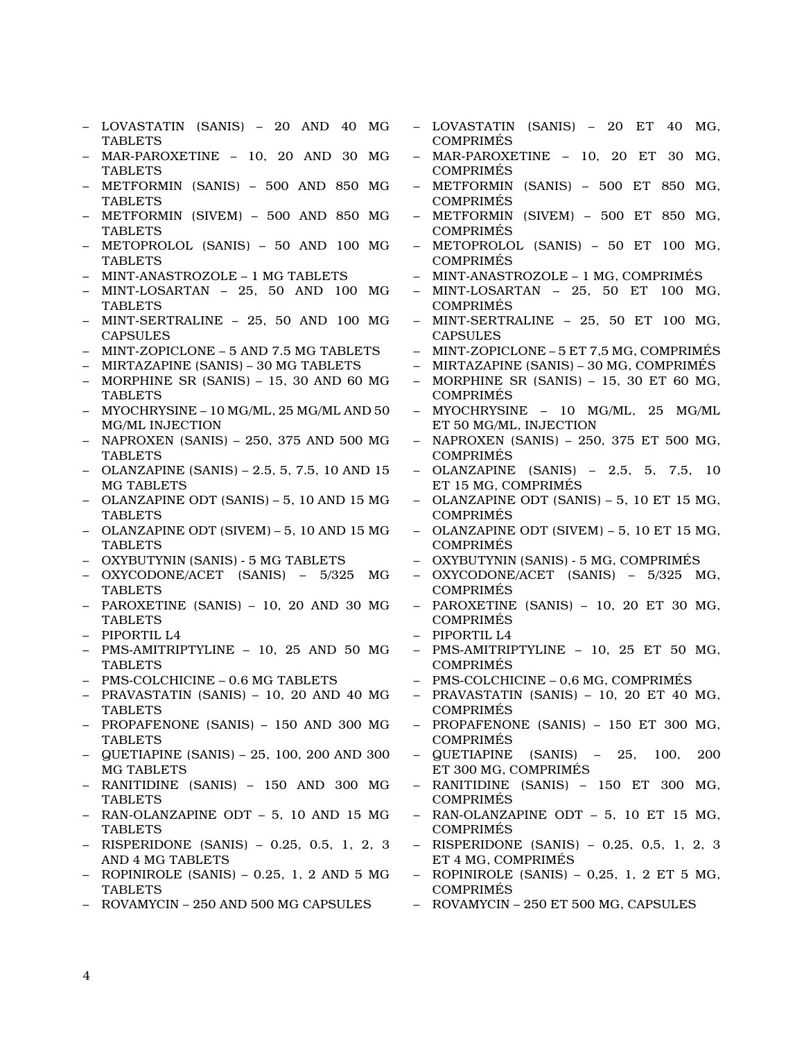- LOVASTATIN (SANIS) 20 AND 40 MG TABLETS
- MAR-PAROXETINE 10, 20 AND 30 MG TABLETS
- METFORMIN (SANIS) 500 AND 850 MG TABLETS
- METFORMIN (SIVEM) 500 AND 850 MG TABLETS
- METOPROLOL (SANIS) 50 AND 100 MG **TABLETS**
- MINT-ANASTROZOLE 1 MG TABLETS
- MINT-LOSARTAN 25, 50 AND 100 MG TABLETS
- MINT-SERTRALINE 25, 50 AND 100 MG CAPSULES
- MINT-ZOPICLONE 5 AND 7.5 MG TABLETS
- MIRTAZAPINE (SANIS) 30 MG TABLETS
- MORPHINE SR (SANIS) 15, 30 AND 60 MG TABLETS
- MYOCHRYSINE 10 MG/ML, 25 MG/ML AND 50 MG/ML INJECTION
- NAPROXEN (SANIS) 250, 375 AND 500 MG TABLETS
- OLANZAPINE (SANIS) 2.5, 5, 7.5, 10 AND 15 MG TABLETS
- OLANZAPINE ODT (SANIS) 5, 10 AND 15 MG TABLETS
- OLANZAPINE ODT (SIVEM) 5, 10 AND 15 MG **TABLETS**
- OXYBUTYNIN (SANIS) 5 MG TABLETS
- OXYCODONE/ACET (SANIS) 5/325 MG TABLETS
- PAROXETINE (SANIS) 10, 20 AND 30 MG TABLETS
- PIPORTIL L4
- PMS-AMITRIPTYLINE 10, 25 AND 50 MG TABLETS
- PMS-COLCHICINE 0.6 MG TABLETS
- PRAVASTATIN (SANIS) 10, 20 AND 40 MG TABLETS
- PROPAFENONE (SANIS) 150 AND 300 MG TABLETS
- QUETIAPINE (SANIS) 25, 100, 200 AND 300 MG TABLETS
- RANITIDINE (SANIS) 150 AND 300 MG **TABLETS**
- RAN-OLANZAPINE ODT 5, 10 AND 15 MG **TABLETS**
- RISPERIDONE (SANIS) 0.25, 0.5, 1, 2, 3 AND 4 MG TABLETS
- ROPINIROLE (SANIS)  $0.25$ , 1, 2 AND 5 MG TABLETS
- ROVAMYCIN 250 AND 500 MG CAPSULES
- LOVASTATIN (SANIS) 20 ET 40 MG, **COMPRIMES**
- MAR-PAROXETINE 10, 20 ET 30 MG, COMPRIMÉS
- METFORMIN (SANIS) 500 ET 850 MG, COMPRIMÉS
- METFORMIN (SIVEM) 500 ET 850 MG, COMPRIMÉS
- METOPROLOL (SANIS) 50 ET 100 MG, COMPRIMÉS
- MINT-ANASTROZOLE 1 MG, COMPRIMÉS
- MINT-LOSARTAN 25, 50 ET 100 MG, COMPRIMÉS
- MINT-SERTRALINE 25, 50 ET 100 MG, CAPSULES
- MINT-ZOPICLONE 5 ET 7,5 MG, COMPRIMÉS
- MIRTAZAPINE (SANIS) 30 MG, COMPRIMÉS
- MORPHINE SR (SANIS) 15, 30 ET 60 MG, COMPRIMÉS
- MYOCHRYSINE 10 MG/ML, 25 MG/ML ET 50 MG/ML, INJECTION
- NAPROXEN (SANIS) 250, 375 ET 500 MG, COMPRIMÉS
- OLANZAPINE (SANIS) 2,5, 5, 7,5, 10 ET 15 MG, COMPRIMÉS
- OLANZAPINE ODT (SANIS) 5, 10 ET 15 MG, **COMPRIMES**
- OLANZAPINE ODT (SIVEM) 5, 10 ET 15 MG, COMPRIMÉS
- OXYBUTYNIN (SANIS) 5 MG, COMPRIMÉS
- OXYCODONE/ACET (SANIS) 5/325 MG, COMPRIMÉS
- PAROXETINE (SANIS) 10, 20 ET 30 MG, COMPRIMÉS
- PIPORTIL L4
- PMS-AMITRIPTYLINE 10, 25 ET 50 MG, COMPRIMÉS
- PMS-COLCHICINE 0,6 MG, COMPRIMÉS
- PRAVASTATIN (SANIS) 10, 20 ET 40 MG, COMPRIMÉS
- PROPAFENONE (SANIS) 150 ET 300 MG, COMPRIMÉS
- QUETIAPINE (SANIS) 25, 100, 200 ET 300 MG, COMPRIMÉS
- RANITIDINE (SANIS) 150 ET 300 MG, COMPRIMÉS
- RAN-OLANZAPINE ODT 5, 10 ET 15 MG, COMPRIMÉS
- RISPERIDONE (SANIS) 0,25, 0,5, 1, 2, 3 ET 4 MG, COMPRIMÉS
- $-$  ROPINIROLE (SANIS)  $-$  0,25, 1, 2 ET 5 MG, COMPRIMÉS
- ROVAMYCIN 250 ET 500 MG, CAPSULES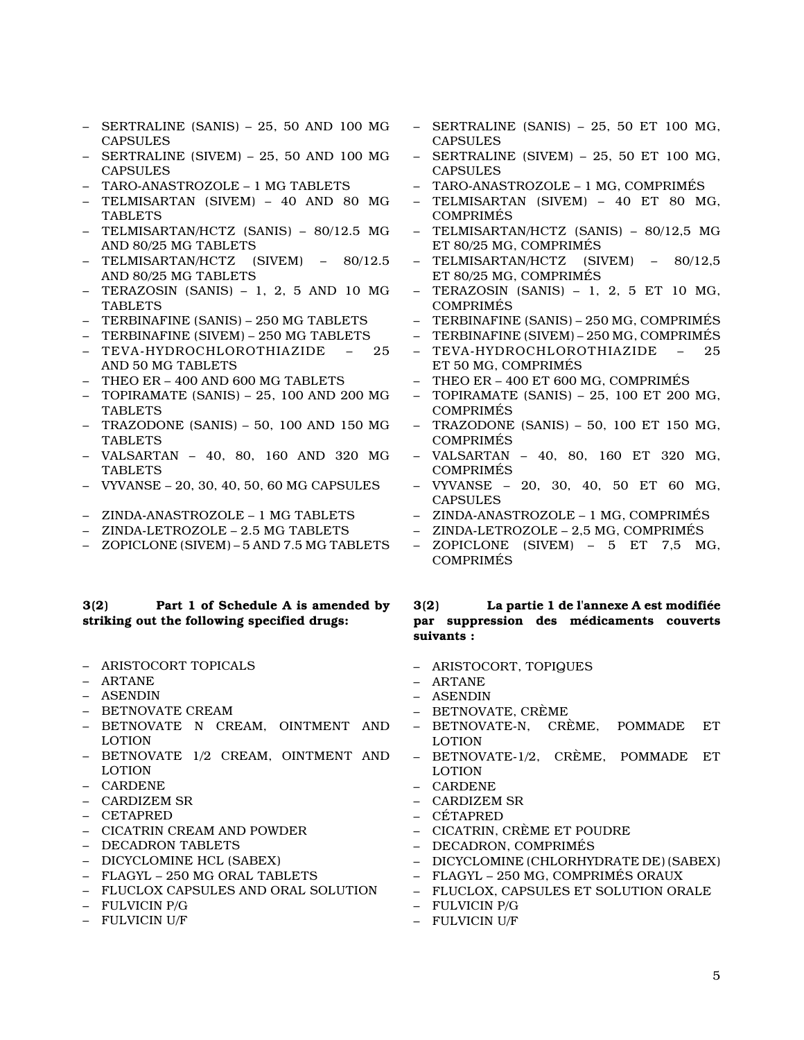- $-$  SERTRALINE (SANIS)  $-$  25, 50 AND 100 MG CAPSULES
- SERTRALINE (SIVEM) 25, 50 AND 100 MG CAPSULES
- TARO-ANASTROZOLE 1 MG TABLETS
- TELMISARTAN (SIVEM) 40 AND 80 MG TABLETS
- TELMISARTAN/HCTZ (SANIS) 80/12.5 MG AND 80/25 MG TABLETS
- TELMISARTAN/HCTZ (SIVEM) 80/12.5 AND 80/25 MG TABLETS
- TERAZOSIN (SANIS) 1, 2, 5 AND 10 MG TABLETS
- TERBINAFINE (SANIS) 250 MG TABLETS
- TERBINAFINE (SIVEM) 250 MG TABLETS
- TEVA-HYDROCHLOROTHIAZIDE 25 AND 50 MG TABLETS
- THEO ER 400 AND 600 MG TABLETS
- TOPIRAMATE (SANIS) 25, 100 AND 200 MG TABLETS
- TRAZODONE (SANIS) 50, 100 AND 150 MG TABLETS
- VALSARTAN 40, 80, 160 AND 320 MG **TABLETS**
- VYVANSE 20, 30, 40, 50, 60 MG CAPSULES
- ZINDA-ANASTROZOLE 1 MG TABLETS
- ZINDA-LETROZOLE 2.5 MG TABLETS
- ZOPICLONE (SIVEM) 5 AND 7.5 MG TABLETS

## **3(2) Part 1 of Schedule A is amended by striking out the following specified drugs:**

- ARISTOCORT TOPICALS
- ARTANE
- ASENDIN
- BETNOVATE CREAM
- BETNOVATE N CREAM, OINTMENT AND LOTION
- BETNOVATE 1/2 CREAM, OINTMENT AND LOTION
- CARDENE
- CARDIZEM SR
- CETAPRED
- CICATRIN CREAM AND POWDER
- DECADRON TABLETS
- DICYCLOMINE HCL (SABEX)
- FLAGYL 250 MG ORAL TABLETS
- FLUCLOX CAPSULES AND ORAL SOLUTION
- FULVICIN P/G
- FULVICIN U/F
- $-$  SERTRALINE (SANIS)  $-25$ , 50 ET 100 MG. CAPSULES
- SERTRALINE (SIVEM) 25, 50 ET 100 MG, **CAPSULES**
- TARO-ANASTROZOLE 1 MG, COMPRIMÉS
- TELMISARTAN (SIVEM) 40 ET 80 MG, COMPRIMÉS
- TELMISARTAN/HCTZ (SANIS) 80/12,5 MG ET 80/25 MG, COMPRIMÉS
- TELMISARTAN/HCTZ (SIVEM) 80/12,5 ET 80/25 MG, COMPRIMÉS
- TERAZOSIN (SANIS) 1, 2, 5 ET 10 MG, COMPRIMÉS
- TERBINAFINE (SANIS) 250 MG, COMPRIMÉS
- TERBINAFINE (SIVEM) 250 MG, COMPRIMÉS
- TEVA-HYDROCHLOROTHIAZIDE 25 ET 50 MG, COMPRIMÉS
- THEO ER 400 ET 600 MG, COMPRIMÉS
- TOPIRAMATE (SANIS) 25, 100 ET 200 MG, COMPRIMÉS
- TRAZODONE (SANIS) 50, 100 ET 150 MG, COMPRIMÉS
- VALSARTAN 40, 80, 160 ET 320 MG, COMPRIMÉS
- VYVANSE 20, 30, 40, 50 ET 60 MG, CAPSULES
- ZINDA-ANASTROZOLE 1 MG, COMPRIMÉS
- ZINDA-LETROZOLE 2,5 MG, COMPRIMÉS
- ZOPICLONE (SIVEM) 5 ET 7,5 MG, COMPRIMÉS

# **3(2) La partie 1 de l'annexe A est modifiée par suppression des médicaments couverts suivants :**

- ARISTOCORT, TOPIQUES
- ARTANE
- ASENDIN
- BETNOVATE, CRÈME
- BETNOVATE-N, CRÈME, POMMADE ET LOTION
- BETNOVATE-1/2, CRÈME, POMMADE ET LOTION
- CARDENE
- CARDIZEM SR
- CÉTAPRED
- CICATRIN, CRÈME ET POUDRE
- DECADRON, COMPRIMÉS
- DICYCLOMINE (CHLORHYDRATE DE) (SABEX)
- FLAGYL 250 MG, COMPRIMÉS ORAUX
- FLUCLOX, CAPSULES ET SOLUTION ORALE
- FULVICIN P/G
- FULVICIN U/F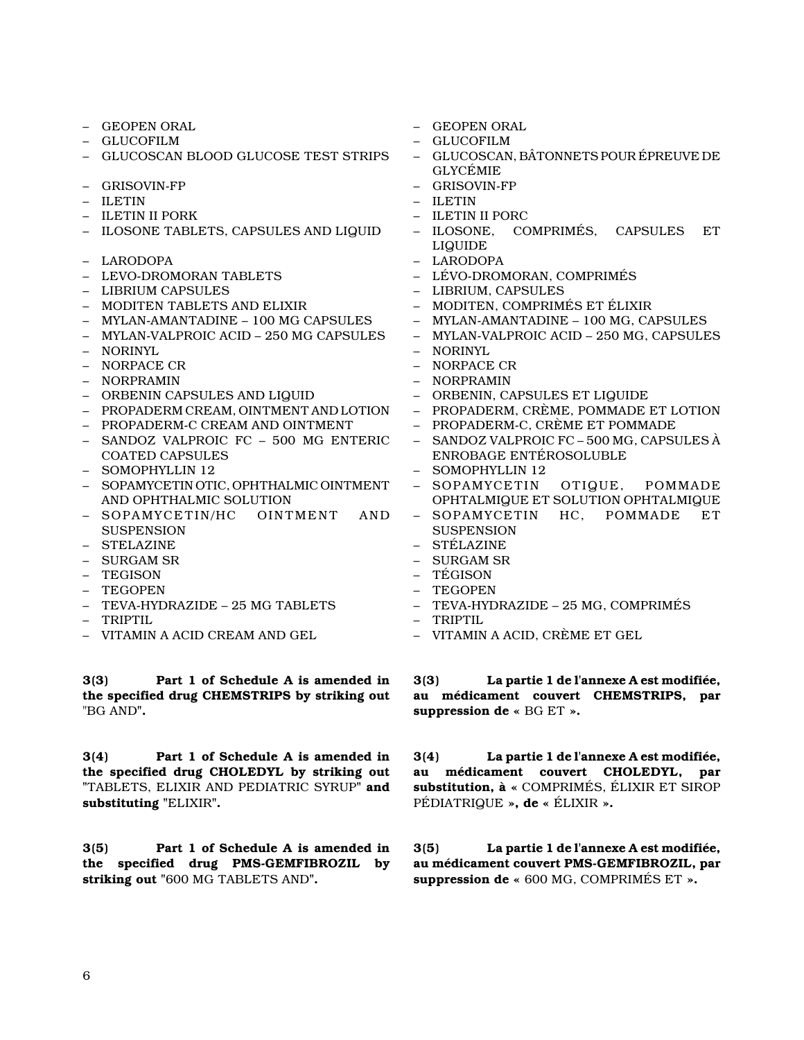- GEOPEN ORAL
- GLUCOFILM
- GLUCOSCAN BLOOD GLUCOSE TEST STRIPS
- GRISOVIN-FP
- ILETIN
- ILETIN II PORK
- ILOSONE TABLETS, CAPSULES AND LIQUID
- LARODOPA
- LEVO-DROMORAN TABLETS
- LIBRIUM CAPSULES
- MODITEN TABLETS AND ELIXIR
- MYLAN-AMANTADINE 100 MG CAPSULES
- MYLAN-VALPROIC ACID 250 MG CAPSULES
- NORINYL
- NORPACE CR
- NORPRAMIN
- ORBENIN CAPSULES AND LIQUID
- PROPADERM CREAM, OINTMENT AND LOTION
- PROPADERM-C CREAM AND OINTMENT
- SANDOZ VALPROIC FC 500 MG ENTERIC COATED CAPSULES
- SOMOPHYLLIN 12
- SOPAMYCETIN OTIC, OPHTHALMIC OINTMENT AND OPHTHALMIC SOLUTION
- SOPAMYCETIN/HC OINTMENT AND **SUSPENSION**
- STELAZINE
- SURGAM SR
- TEGISON
- TEGOPEN
- TEVA-HYDRAZIDE 25 MG TABLETS
- TRIPTIL
- VITAMIN A ACID CREAM AND GEL

**3(3) Part 1 of Schedule A is amended in the specified drug CHEMSTRIPS by striking out** "BG AND**".**

**3(4) Part 1 of Schedule A is amended in the specified drug CHOLEDYL by striking out "**TABLETS, ELIXIR AND PEDIATRIC SYRUP**" and substituting "**ELIXIR**".**

**3(5) Part 1 of Schedule A is amended in the specified drug PMS-GEMFIBROZIL by striking out "**600 MG TABLETS AND**".**

- GEOPEN ORAL
- GLUCOFILM
- GLUCOSCAN, BÂTONNETS POUR ÉPREUVE DE GLYCÉMIE
- GRISOVIN-FP
- ILETIN
- ILETIN II PORC
- ILOSONE, COMPRIMÉS, CAPSULES ET LIQUIDE
- LARODOPA
- LÉVO-DROMORAN, COMPRIMÉS
- LIBRIUM, CAPSULES
- MODITEN, COMPRIMÉS ET ÉLIXIR
- MYLAN-AMANTADINE 100 MG, CAPSULES
- MYLAN-VALPROIC ACID 250 MG, CAPSULES
- NORINYL
- NORPACE CR
- NORPRAMIN
- ORBENIN, CAPSULES ET LIQUIDE
- PROPADERM, CRÈME, POMMADE ET LOTION
- PROPADERM-C, CRÈME ET POMMADE
- SANDOZ VALPROIC FC 500 MG, CAPSULES À ENROBAGE ENTÉROSOLUBLE
- SOMOPHYLLIN 12
- SOPAMYCETIN OTIQUE, POMMADE OPHTALMIQUE ET SOLUTION OPHTALMIQUE
- SOPAMYCETIN HC, POMMADE ET **SUSPENSION**
- STÉLAZINE
- SURGAM SR
- TÉGISON
- TEGOPEN
- TEVA-HYDRAZIDE 25 MG, COMPRIMÉS
- TRIPTIL
- VITAMIN A ACID, CRÈME ET GEL

**3(3) La partie 1 de l'annexe A est modifiée, au médicament couvert CHEMSTRIPS, par suppression de «** BG ET **».**

**3(4) La partie 1 de l'annexe A est modifiée, au médicament couvert CHOLEDYL, par substitution, à «** COMPRIMÉS, ÉLIXIR ET SIROP PÉDIATRIQUE **», de «** ÉLIXIR **».**

**3(5) La partie 1 de l'annexe A est modifiée, au médicament couvert PMS-GEMFIBROZIL, par suppression de «** 600 MG, COMPRIMÉS ET **».**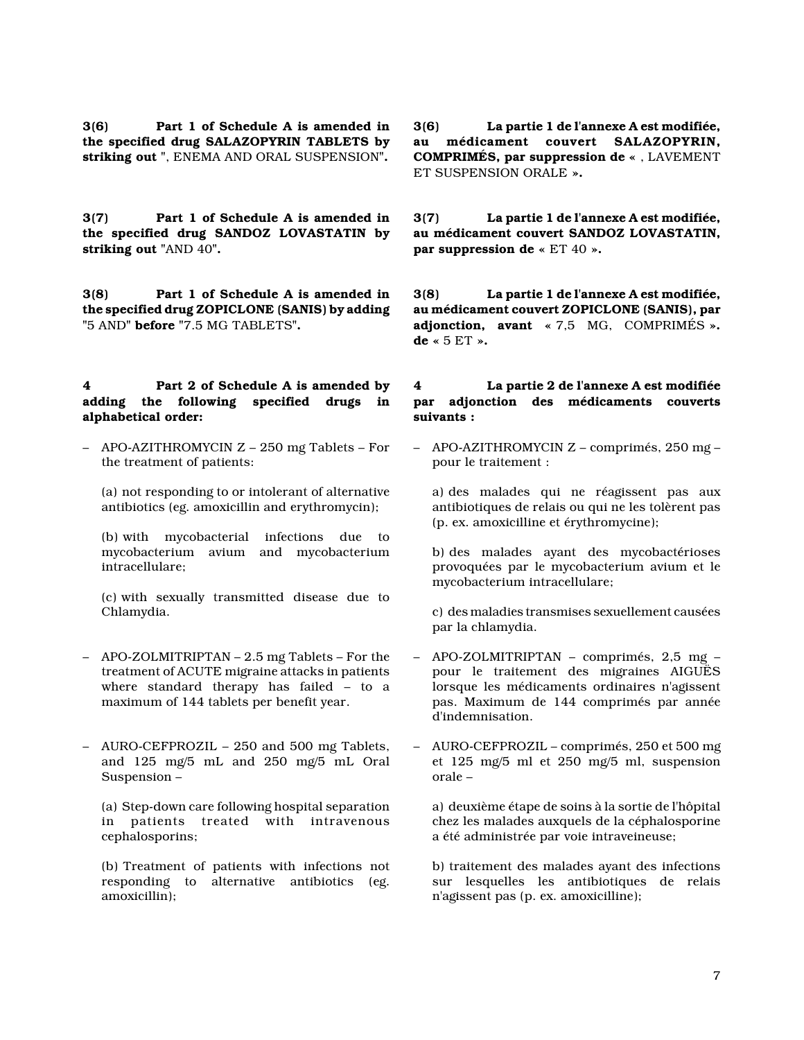**3(6) Part 1 of Schedule A is amended in the specified drug SALAZOPYRIN TABLETS by striking out "**, ENEMA AND ORAL SUSPENSION**".**

**3(7) Part 1 of Schedule A is amended in the specified drug SANDOZ LOVASTATIN by striking out "**AND 40**".**

**3(8) Part 1 of Schedule A is amended in the specified drug ZOPICLONE (SANIS) by adding "**5 AND**" before "**7.5 MG TABLETS**".**

## **4 Part 2 of Schedule A is amended by adding the following specified drugs in alphabetical order:**

- APO-AZITHROMYCIN Z 250 mg Tablets For the treatment of patients:
	- (a) not responding to or intolerant of alternative antibiotics (eg. amoxicillin and erythromycin);

(b) with mycobacterial infections due to mycobacterium avium and mycobacterium intracellulare;

(c) with sexually transmitted disease due to Chlamydia.

- APO-ZOLMITRIPTAN 2.5 mg Tablets For the treatment of ACUTE migraine attacks in patients where standard therapy has failed – to a maximum of 144 tablets per benefit year.
- AURO-CEFPROZIL 250 and 500 mg Tablets, and 125 mg/5 mL and 250 mg/5 mL Oral Suspension –

(a) Step-down care following hospital separation in patients treated with intravenous cephalosporins;

(b) Treatment of patients with infections not responding to alternative antibiotics (eg. amoxicillin);

**3(6) La partie 1 de l'annexe A est modifiée, au médicament couvert SALAZOPYRIN, COMPRIMÉS, par suppression de «** , LAVEMENT ET SUSPENSION ORALE **».**

**3(7) La partie 1 de l'annexe A est modifiée, au médicament couvert SANDOZ LOVASTATIN, par suppression de «** ET 40 **».**

**3(8) La partie 1 de l'annexe A est modifiée, au médicament couvert ZOPICLONE (SANIS), par adjonction, avant «** 7,5 MG, COMPRIMÉS **». de «** 5 ET **».**

## **4 La partie 2 de l'annexe A est modifiée par adjonction des médicaments couverts suivants :**

– APO-AZITHROMYCIN Z – comprimés, 250 mg – pour le traitement :

a) des malades qui ne réagissent pas aux antibiotiques de relais ou qui ne les tolèrent pas (p. ex. amoxicilline et érythromycine);

b) des malades ayant des mycobactérioses provoquées par le mycobacterium avium et le mycobacterium intracellulare;

c) des maladies transmises sexuellement causées par la chlamydia.

- APO-ZOLMITRIPTAN comprimés, 2,5 mg pour le traitement des migraines AIGUËS lorsque les médicaments ordinaires n'agissent pas. Maximum de 144 comprimés par année d'indemnisation.
- AURO-CEFPROZIL comprimés, 250 et 500 mg et 125 mg/5 ml et 250 mg/5 ml, suspension orale –

a) deuxième étape de soins à la sortie de l'hôpital chez les malades auxquels de la céphalosporine a été administrée par voie intraveineuse;

b) traitement des malades ayant des infections sur lesquelles les antibiotiques de relais n'agissent pas (p. ex. amoxicilline);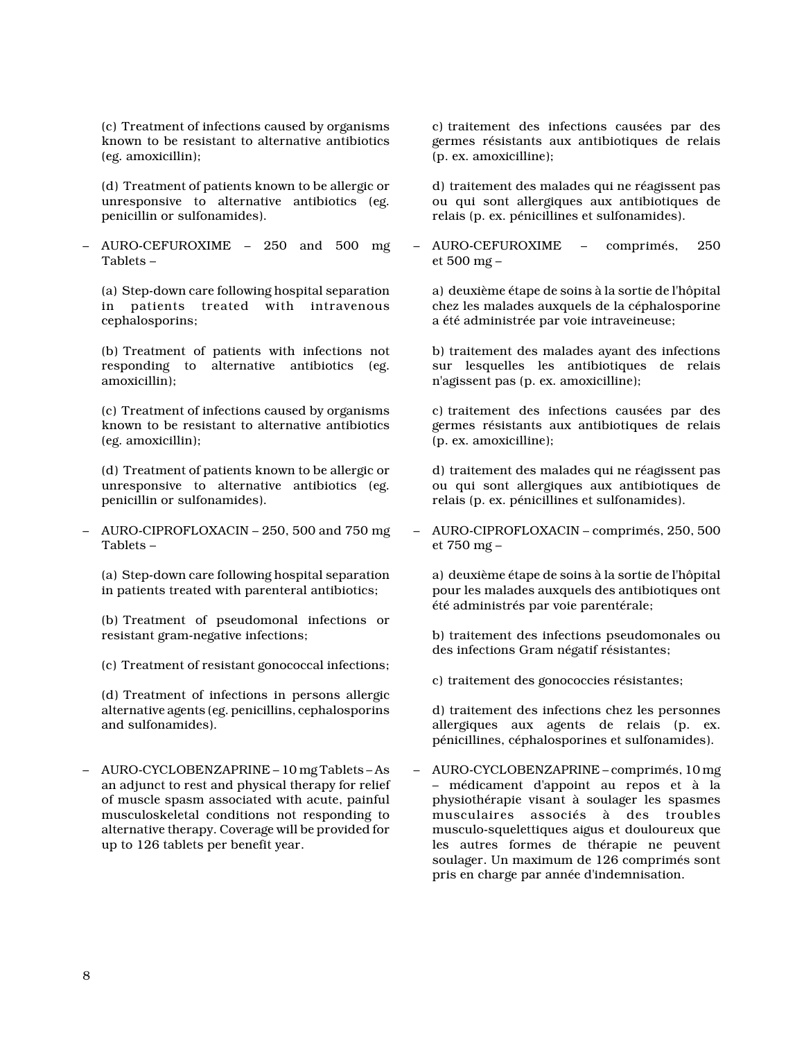(c) Treatment of infections caused by organisms known to be resistant to alternative antibiotics (eg. amoxicillin);

(d) Treatment of patients known to be allergic or unresponsive to alternative antibiotics (eg. penicillin or sulfonamides).

– AURO-CEFUROXIME – 250 and 500 mg Tablets –

(a) Step-down care following hospital separation in patients treated with intravenous cephalosporins;

(b) Treatment of patients with infections not responding to alternative antibiotics (eg. amoxicillin);

(c) Treatment of infections caused by organisms known to be resistant to alternative antibiotics (eg. amoxicillin);

(d) Treatment of patients known to be allergic or unresponsive to alternative antibiotics (eg. penicillin or sulfonamides).

– AURO-CIPROFLOXACIN – 250, 500 and 750 mg Tablets –

(a) Step-down care following hospital separation in patients treated with parenteral antibiotics;

(b) Treatment of pseudomonal infections or resistant gram-negative infections;

(c) Treatment of resistant gonococcal infections;

(d) Treatment of infections in persons allergic alternative agents (eg. penicillins, cephalosporins and sulfonamides).

– AURO-CYCLOBENZAPRINE – 10 mg Tablets – As an adjunct to rest and physical therapy for relief of muscle spasm associated with acute, painful musculoskeletal conditions not responding to alternative therapy. Coverage will be provided for up to 126 tablets per benefit year.

c) traitement des infections causées par des germes résistants aux antibiotiques de relais (p. ex. amoxicilline);

d) traitement des malades qui ne réagissent pas ou qui sont allergiques aux antibiotiques de relais (p. ex. pénicillines et sulfonamides).

– AURO-CEFUROXIME – comprimés, 250 et 500 mg –

a) deuxième étape de soins à la sortie de l'hôpital chez les malades auxquels de la céphalosporine a été administrée par voie intraveineuse;

b) traitement des malades ayant des infections sur lesquelles les antibiotiques de relais n'agissent pas (p. ex. amoxicilline);

c) traitement des infections causées par des germes résistants aux antibiotiques de relais (p. ex. amoxicilline);

d) traitement des malades qui ne réagissent pas ou qui sont allergiques aux antibiotiques de relais (p. ex. pénicillines et sulfonamides).

– AURO-CIPROFLOXACIN – comprimés, 250, 500 et 750 mg –

a) deuxième étape de soins à la sortie de l'hôpital pour les malades auxquels des antibiotiques ont été administrés par voie parentérale;

b) traitement des infections pseudomonales ou des infections Gram négatif résistantes;

c) traitement des gonococcies résistantes;

d) traitement des infections chez les personnes allergiques aux agents de relais (p. ex. pénicillines, céphalosporines et sulfonamides).

– AURO-CYCLOBENZAPRINE – comprimés, 10 mg – médicament d'appoint au repos et à la physiothérapie visant à soulager les spasmes musculaires associés à des troubles musculo-squelettiques aigus et douloureux que les autres formes de thérapie ne peuvent soulager. Un maximum de 126 comprimés sont pris en charge par année d'indemnisation.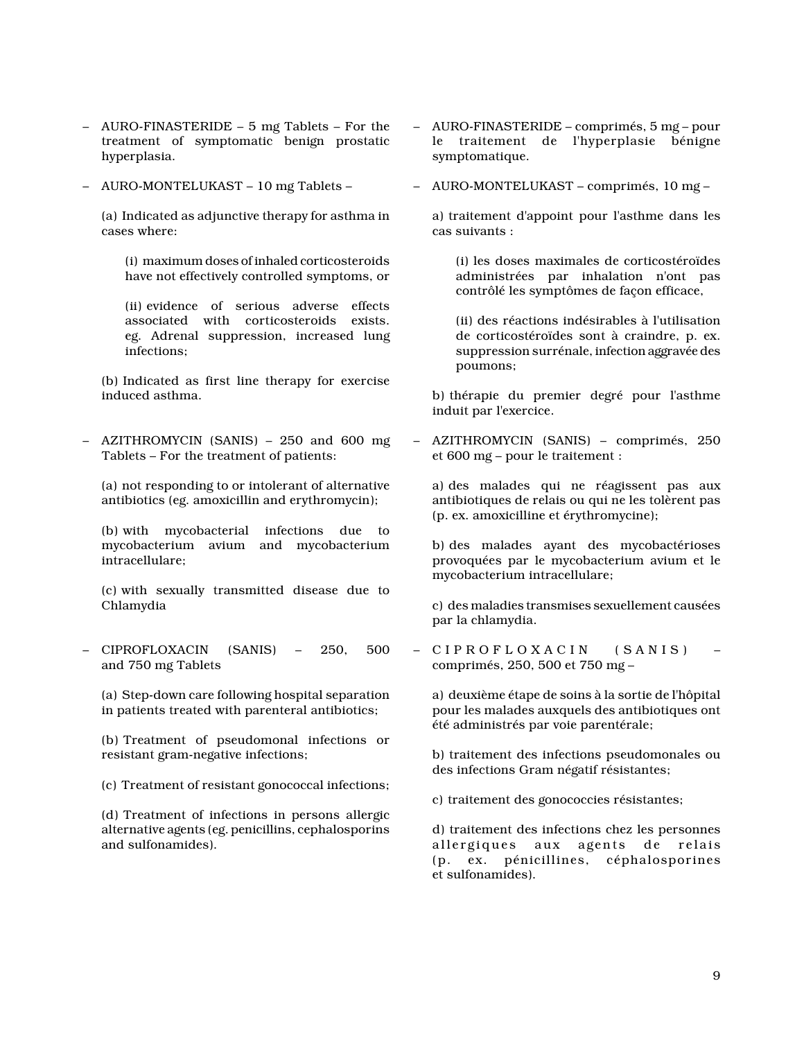- AURO-FINASTERIDE 5 mg Tablets For the treatment of symptomatic benign prostatic hyperplasia.
- AURO-MONTELUKAST 10 mg Tablets –

(a) Indicated as adjunctive therapy for asthma in cases where:

(i) maximum doses of inhaled corticosteroids have not effectively controlled symptoms, or

(ii) evidence of serious adverse effects associated with corticosteroids exists. eg. Adrenal suppression, increased lung infections;

(b) Indicated as first line therapy for exercise induced asthma.

– AZITHROMYCIN (SANIS) – 250 and 600 mg Tablets – For the treatment of patients:

(a) not responding to or intolerant of alternative antibiotics (eg. amoxicillin and erythromycin);

(b) with mycobacterial infections due to mycobacterium avium and mycobacterium intracellulare;

(c) with sexually transmitted disease due to Chlamydia

– CIPROFLOXACIN (SANIS) – 250, 500 and 750 mg Tablets

(a) Step-down care following hospital separation in patients treated with parenteral antibiotics;

(b) Treatment of pseudomonal infections or resistant gram-negative infections;

(c) Treatment of resistant gonococcal infections;

(d) Treatment of infections in persons allergic alternative agents (eg. penicillins, cephalosporins and sulfonamides).

- AURO-FINASTERIDE comprimés, 5 mg pour le traitement de l'hyperplasie bénigne symptomatique.
- AURO-MONTELUKAST comprimés, 10 mg –

a) traitement d'appoint pour l'asthme dans les cas suivants :

(i) les doses maximales de corticostéroïdes administrées par inhalation n'ont pas contrôlé les symptômes de façon efficace,

(ii) des réactions indésirables à l'utilisation de corticostéroïdes sont à craindre, p. ex. suppression surrénale, infection aggravée des poumons;

b) thérapie du premier degré pour l'asthme induit par l'exercice.

– AZITHROMYCIN (SANIS) – comprimés, 250 et 600 mg – pour le traitement :

a) des malades qui ne réagissent pas aux antibiotiques de relais ou qui ne les tolèrent pas (p. ex. amoxicilline et érythromycine);

b) des malades ayant des mycobactérioses provoquées par le mycobacterium avium et le mycobacterium intracellulare;

c) des maladies transmises sexuellement causées par la chlamydia.

CIPROFLOXACIN (SANIS) comprimés, 250, 500 et 750 mg –

a) deuxième étape de soins à la sortie de l'hôpital pour les malades auxquels des antibiotiques ont été administrés par voie parentérale;

b) traitement des infections pseudomonales ou des infections Gram négatif résistantes;

c) traitement des gonococcies résistantes;

d) traitement des infections chez les personnes allergiques aux agents de relais (p. ex. pénicillines, céphalosporines et sulfonamides).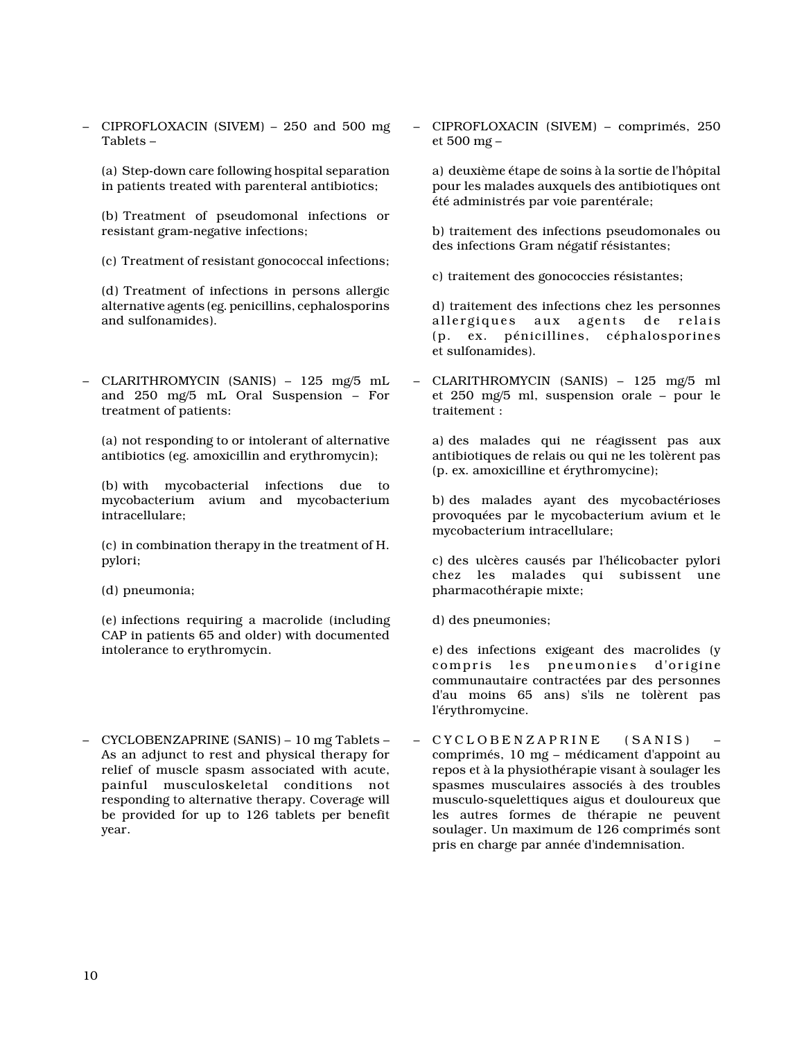– CIPROFLOXACIN (SIVEM) – 250 and 500 mg Tablets –

(a) Step-down care following hospital separation in patients treated with parenteral antibiotics;

(b) Treatment of pseudomonal infections or resistant gram-negative infections;

(c) Treatment of resistant gonococcal infections;

(d) Treatment of infections in persons allergic alternative agents (eg. penicillins, cephalosporins and sulfonamides).

– CLARITHROMYCIN (SANIS) – 125 mg/5 mL and 250 mg/5 mL Oral Suspension – For treatment of patients:

(a) not responding to or intolerant of alternative antibiotics (eg. amoxicillin and erythromycin);

(b) with mycobacterial infections due to mycobacterium avium and mycobacterium intracellulare;

(c) in combination therapy in the treatment of H. pylori;

(d) pneumonia;

(e) infections requiring a macrolide (including CAP in patients 65 and older) with documented intolerance to erythromycin.

– CYCLOBENZAPRINE (SANIS) – 10 mg Tablets – As an adjunct to rest and physical therapy for relief of muscle spasm associated with acute, painful musculoskeletal conditions not responding to alternative therapy. Coverage will be provided for up to 126 tablets per benefit year.

– CIPROFLOXACIN (SIVEM) – comprimés, 250 et 500 mg –

a) deuxième étape de soins à la sortie de l'hôpital pour les malades auxquels des antibiotiques ont été administrés par voie parentérale;

b) traitement des infections pseudomonales ou des infections Gram négatif résistantes;

c) traitement des gonococcies résistantes;

d) traitement des infections chez les personnes allergiques aux agents de relais (p. ex. pénicillines, céphalosporines et sulfonamides).

– CLARITHROMYCIN (SANIS) – 125 mg/5 ml et 250 mg/5 ml, suspension orale – pour le traitement :

a) des malades qui ne réagissent pas aux antibiotiques de relais ou qui ne les tolèrent pas (p. ex. amoxicilline et érythromycine);

b) des malades ayant des mycobactérioses provoquées par le mycobacterium avium et le mycobacterium intracellulare;

c) des ulcères causés par l'hélicobacter pylori chez les malades qui subissent une pharmacothérapie mixte;

d) des pneumonies;

e) des infections exigeant des macrolides (y compris les pneumonies d'origine communautaire contractées par des personnes d'au moins 65 ans) s'ils ne tolèrent pas l'érythromycine.

– CYCLOBENZAPRINE (SANIS) comprimés, 10 mg – médicament d'appoint au repos et à la physiothérapie visant à soulager les spasmes musculaires associés à des troubles musculo-squelettiques aigus et douloureux que les autres formes de thérapie ne peuvent soulager. Un maximum de 126 comprimés sont pris en charge par année d'indemnisation.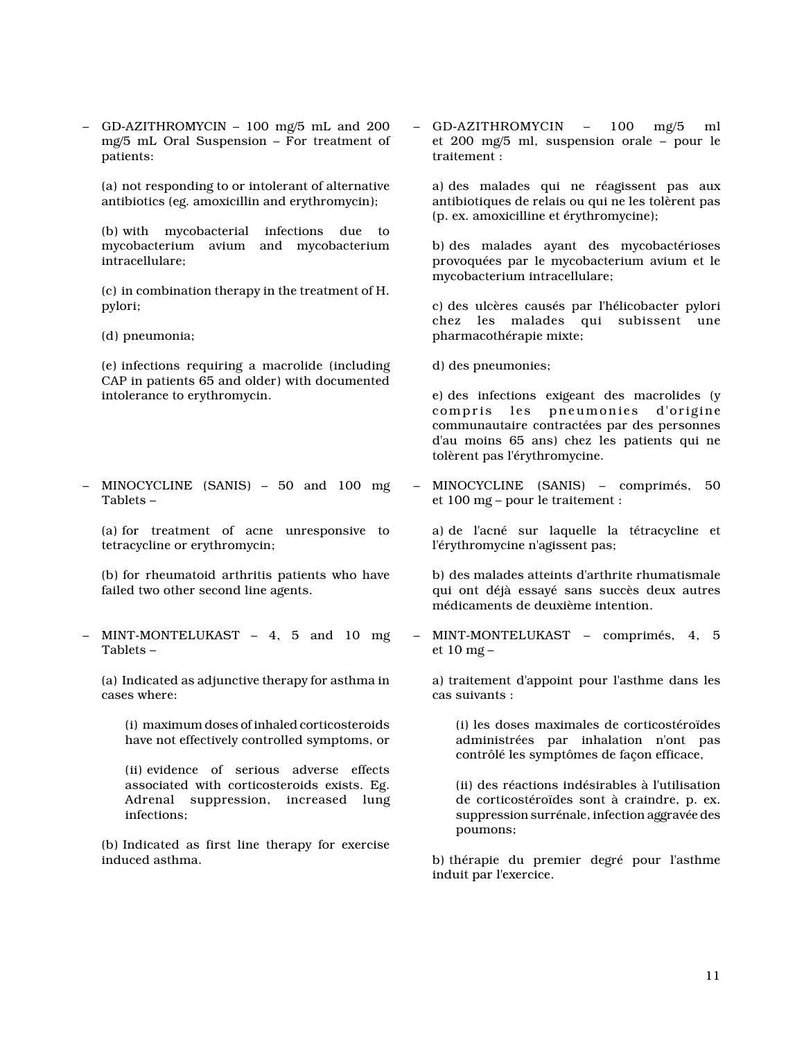– GD-AZITHROMYCIN – 100 mg/5 mL and 200 mg/5 mL Oral Suspension – For treatment of patients:

(a) not responding to or intolerant of alternative antibiotics (eg. amoxicillin and erythromycin);

(b) with mycobacterial infections due to mycobacterium avium and mycobacterium intracellulare;

(c) in combination therapy in the treatment of H. pylori;

(d) pneumonia;

(e) infections requiring a macrolide (including CAP in patients 65 and older) with documented intolerance to erythromycin.

– MINOCYCLINE (SANIS) – 50 and 100 mg Tablets –

(a) for treatment of acne unresponsive to tetracycline or erythromycin;

(b) for rheumatoid arthritis patients who have failed two other second line agents.

– MINT-MONTELUKAST – 4, 5 and 10 mg Tablets –

(a) Indicated as adjunctive therapy for asthma in cases where:

(i) maximum doses of inhaled corticosteroids have not effectively controlled symptoms, or

(ii) evidence of serious adverse effects associated with corticosteroids exists. Eg. Adrenal suppression, increased lung infections;

(b) Indicated as first line therapy for exercise induced asthma.

– GD-AZITHROMYCIN – 100 mg/5 ml et 200 mg/5 ml, suspension orale – pour le traitement :

a) des malades qui ne réagissent pas aux antibiotiques de relais ou qui ne les tolèrent pas (p. ex. amoxicilline et érythromycine);

b) des malades ayant des mycobactérioses provoquées par le mycobacterium avium et le mycobacterium intracellulare;

c) des ulcères causés par l'hélicobacter pylori chez les malades qui subissent une pharmacothérapie mixte;

d) des pneumonies;

e) des infections exigeant des macrolides (y compris les pneumonies d'origine communautaire contractées par des personnes d'au moins 65 ans) chez les patients qui ne tolèrent pas l'érythromycine.

– MINOCYCLINE (SANIS) – comprimés, 50 et 100 mg – pour le traitement :

a) de l'acné sur laquelle la tétracycline et l'érythromycine n'agissent pas;

b) des malades atteints d'arthrite rhumatismale qui ont déjà essayé sans succès deux autres médicaments de deuxième intention.

– MINT-MONTELUKAST – comprimés, 4, 5 et 10 mg –

a) traitement d'appoint pour l'asthme dans les cas suivants :

(i) les doses maximales de corticostéroïdes administrées par inhalation n'ont pas contrôlé les symptômes de façon efficace,

(ii) des réactions indésirables à l'utilisation de corticostéroïdes sont à craindre, p. ex. suppression surrénale, infection aggravée des poumons;

b) thérapie du premier degré pour l'asthme induit par l'exercice.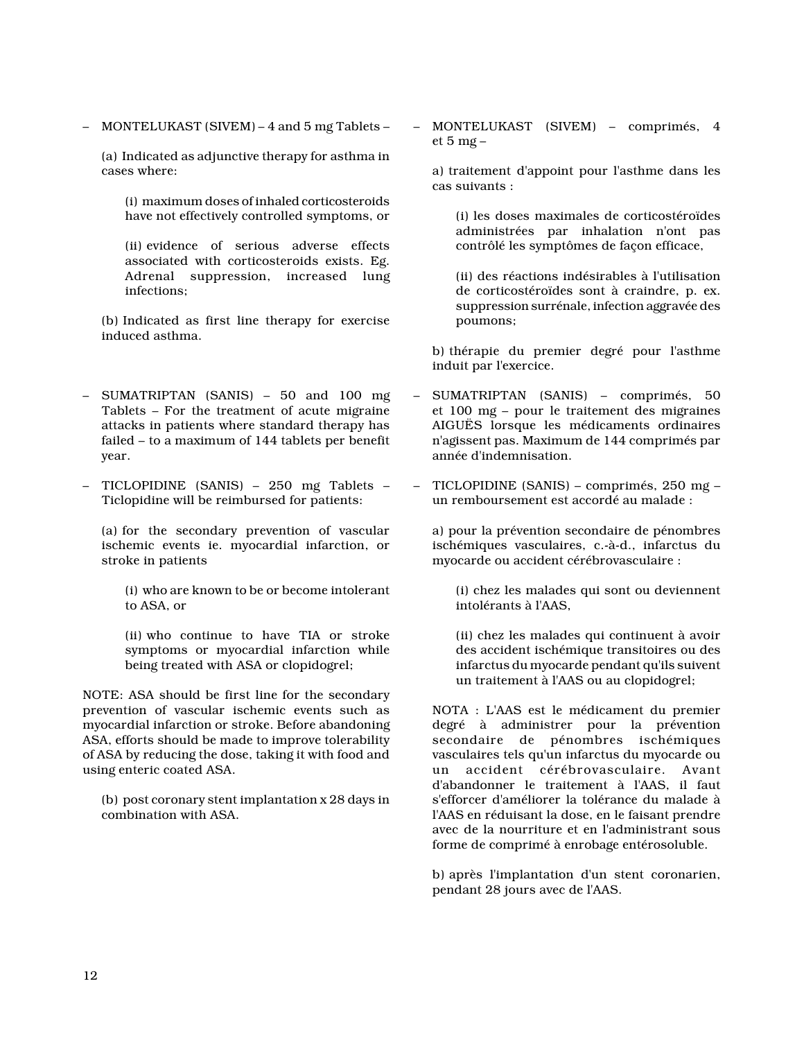– MONTELUKAST (SIVEM) – 4 and 5 mg Tablets –

(a) Indicated as adjunctive therapy for asthma in cases where:

(i) maximum doses of inhaled corticosteroids have not effectively controlled symptoms, or

(ii) evidence of serious adverse effects associated with corticosteroids exists. Eg. Adrenal suppression, increased lung infections;

(b) Indicated as first line therapy for exercise induced asthma.

- SUMATRIPTAN (SANIS) 50 and 100 mg Tablets – For the treatment of acute migraine attacks in patients where standard therapy has failed – to a maximum of 144 tablets per benefit year.
- TICLOPIDINE (SANIS) 250 mg Tablets Ticlopidine will be reimbursed for patients:

(a) for the secondary prevention of vascular ischemic events ie. myocardial infarction, or stroke in patients

(i) who are known to be or become intolerant to ASA, or

(ii) who continue to have TIA or stroke symptoms or myocardial infarction while being treated with ASA or clopidogrel;

NOTE: ASA should be first line for the secondary prevention of vascular ischemic events such as myocardial infarction or stroke. Before abandoning ASA, efforts should be made to improve tolerability of ASA by reducing the dose, taking it with food and using enteric coated ASA.

(b) post coronary stent implantation x 28 days in combination with ASA.

– MONTELUKAST (SIVEM) – comprimés, 4 et 5 mg –

a) traitement d'appoint pour l'asthme dans les cas suivants :

(i) les doses maximales de corticostéroïdes administrées par inhalation n'ont pas contrôlé les symptômes de façon efficace,

(ii) des réactions indésirables à l'utilisation de corticostéroïdes sont à craindre, p. ex. suppression surrénale, infection aggravée des poumons;

b) thérapie du premier degré pour l'asthme induit par l'exercice.

- SUMATRIPTAN (SANIS) comprimés, 50 et 100 mg – pour le traitement des migraines AIGUËS lorsque les médicaments ordinaires n'agissent pas. Maximum de 144 comprimés par année d'indemnisation.
- TICLOPIDINE (SANIS) comprimés, 250 mg un remboursement est accordé au malade :

a) pour la prévention secondaire de pénombres ischémiques vasculaires, c.-à-d., infarctus du myocarde ou accident cérébrovasculaire :

(i) chez les malades qui sont ou deviennent intolérants à l'AAS,

(ii) chez les malades qui continuent à avoir des accident ischémique transitoires ou des infarctus du myocarde pendant qu'ils suivent un traitement à l'AAS ou au clopidogrel;

NOTA : L'AAS est le médicament du premier degré à administrer pour la prévention secondaire de pénombres ischémiques vasculaires tels qu'un infarctus du myocarde ou accident cérébrovasculaire. Avant d'abandonner le traitement à l'AAS, il faut s'efforcer d'améliorer la tolérance du malade à l'AAS en réduisant la dose, en le faisant prendre avec de la nourriture et en l'administrant sous forme de comprimé à enrobage entérosoluble.

b) après l'implantation d'un stent coronarien, pendant 28 jours avec de l'AAS.